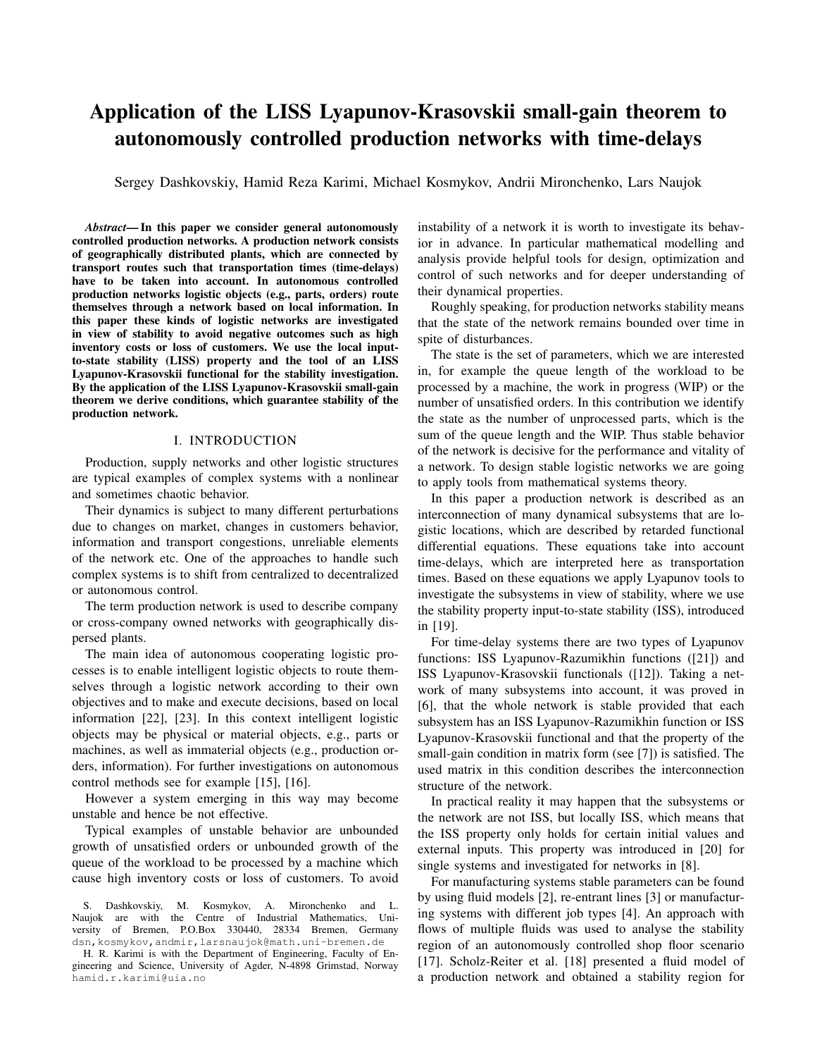# Application of the LISS Lyapunov-Krasovskii small-gain theorem to autonomously controlled production networks with time-delays

Sergey Dashkovskiy, Hamid Reza Karimi, Michael Kosmykov, Andrii Mironchenko, Lars Naujok

*Abstract*— In this paper we consider general autonomously controlled production networks. A production network consists of geographically distributed plants, which are connected by transport routes such that transportation times (time-delays) have to be taken into account. In autonomous controlled production networks logistic objects (e.g., parts, orders) route themselves through a network based on local information. In this paper these kinds of logistic networks are investigated in view of stability to avoid negative outcomes such as high inventory costs or loss of customers. We use the local inputto-state stability (LISS) property and the tool of an LISS Lyapunov-Krasovskii functional for the stability investigation. By the application of the LISS Lyapunov-Krasovskii small-gain theorem we derive conditions, which guarantee stability of the production network.

## I. INTRODUCTION

Production, supply networks and other logistic structures are typical examples of complex systems with a nonlinear and sometimes chaotic behavior.

Their dynamics is subject to many different perturbations due to changes on market, changes in customers behavior, information and transport congestions, unreliable elements of the network etc. One of the approaches to handle such complex systems is to shift from centralized to decentralized or autonomous control.

The term production network is used to describe company or cross-company owned networks with geographically dispersed plants.

The main idea of autonomous cooperating logistic processes is to enable intelligent logistic objects to route themselves through a logistic network according to their own objectives and to make and execute decisions, based on local information [22], [23]. In this context intelligent logistic objects may be physical or material objects, e.g., parts or machines, as well as immaterial objects (e.g., production orders, information). For further investigations on autonomous control methods see for example [15], [16].

However a system emerging in this way may become unstable and hence be not effective.

Typical examples of unstable behavior are unbounded growth of unsatisfied orders or unbounded growth of the queue of the workload to be processed by a machine which cause high inventory costs or loss of customers. To avoid instability of a network it is worth to investigate its behavior in advance. In particular mathematical modelling and analysis provide helpful tools for design, optimization and control of such networks and for deeper understanding of their dynamical properties.

Roughly speaking, for production networks stability means that the state of the network remains bounded over time in spite of disturbances.

The state is the set of parameters, which we are interested in, for example the queue length of the workload to be processed by a machine, the work in progress (WIP) or the number of unsatisfied orders. In this contribution we identify the state as the number of unprocessed parts, which is the sum of the queue length and the WIP. Thus stable behavior of the network is decisive for the performance and vitality of a network. To design stable logistic networks we are going to apply tools from mathematical systems theory.

In this paper a production network is described as an interconnection of many dynamical subsystems that are logistic locations, which are described by retarded functional differential equations. These equations take into account time-delays, which are interpreted here as transportation times. Based on these equations we apply Lyapunov tools to investigate the subsystems in view of stability, where we use the stability property input-to-state stability (ISS), introduced in [19].

For time-delay systems there are two types of Lyapunov functions: ISS Lyapunov-Razumikhin functions ([21]) and ISS Lyapunov-Krasovskii functionals ([12]). Taking a network of many subsystems into account, it was proved in [6], that the whole network is stable provided that each subsystem has an ISS Lyapunov-Razumikhin function or ISS Lyapunov-Krasovskii functional and that the property of the small-gain condition in matrix form (see [7]) is satisfied. The used matrix in this condition describes the interconnection structure of the network.

In practical reality it may happen that the subsystems or the network are not ISS, but locally ISS, which means that the ISS property only holds for certain initial values and external inputs. This property was introduced in [20] for single systems and investigated for networks in [8].

For manufacturing systems stable parameters can be found by using fluid models [2], re-entrant lines [3] or manufacturing systems with different job types [4]. An approach with flows of multiple fluids was used to analyse the stability region of an autonomously controlled shop floor scenario [17]. Scholz-Reiter et al. [18] presented a fluid model of a production network and obtained a stability region for

S. Dashkovskiy, M. Kosmykov, A. Mironchenko and L. Naujok are with the Centre of Industrial Mathematics, University of Bremen, P.O.Box 330440, 28334 Bremen, Germany dsn,kosmykov,andmir,larsnaujok@math.uni-bremen.de

H. R. Karimi is with the Department of Engineering, Faculty of Engineering and Science, University of Agder, N-4898 Grimstad, Norway hamid.r.karimi@uia.no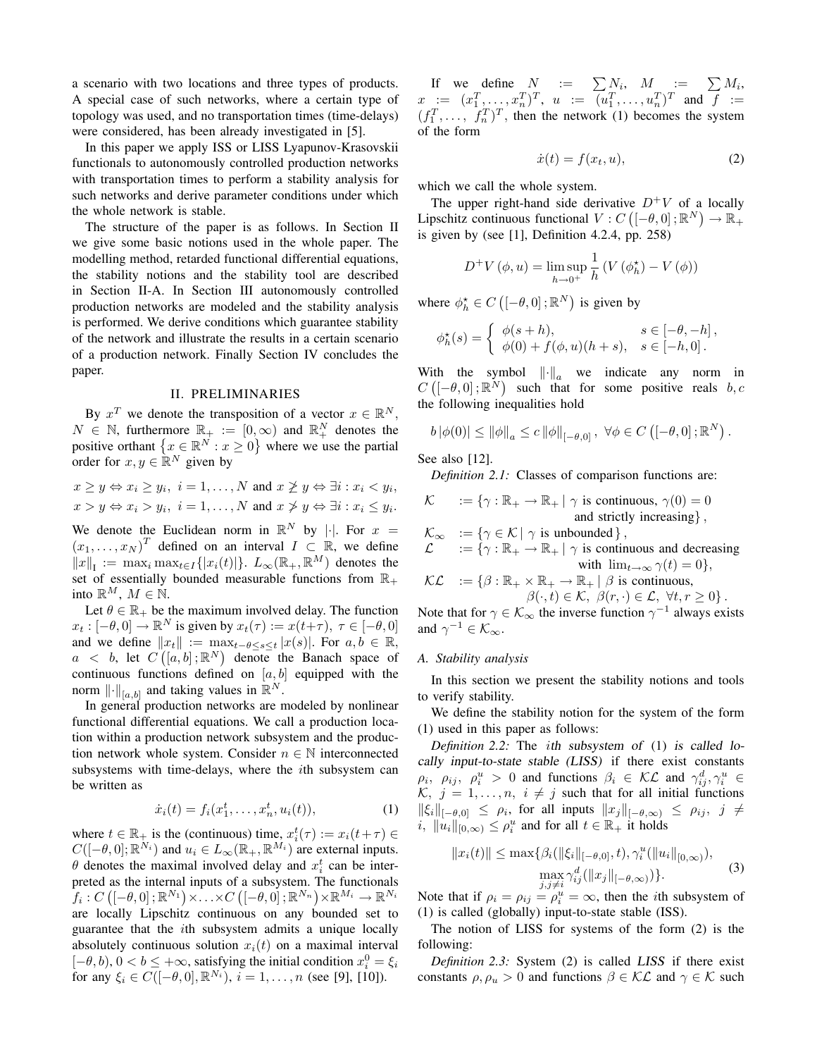a scenario with two locations and three types of products. A special case of such networks, where a certain type of topology was used, and no transportation times (time-delays) were considered, has been already investigated in [5].

In this paper we apply ISS or LISS Lyapunov-Krasovskii functionals to autonomously controlled production networks with transportation times to perform a stability analysis for such networks and derive parameter conditions under which the whole network is stable.

The structure of the paper is as follows. In Section II we give some basic notions used in the whole paper. The modelling method, retarded functional differential equations, the stability notions and the stability tool are described in Section II-A. In Section III autonomously controlled production networks are modeled and the stability analysis is performed. We derive conditions which guarantee stability of the network and illustrate the results in a certain scenario of a production network. Finally Section IV concludes the paper.

## II. PRELIMINARIES

By  $x^T$  we denote the transposition of a vector  $x \in \mathbb{R}^N$ ,  $N \in \mathbb{N}$ , furthermore  $\mathbb{R}_+ := [0, \infty)$  and  $\mathbb{R}_+^N$  denotes the positive orthant  $\{x \in \mathbb{R}^N : x \geq 0\}$  where we use the partial order for  $x, y \in \mathbb{R}^N$  given by

$$
x \ge y \Leftrightarrow x_i \ge y_i, \ i = 1, \dots, N \text{ and } x \not\ge y \Leftrightarrow \exists i : x_i < y_i, \ x > y \Leftrightarrow x_i > y_i, \ i = 1, \dots, N \text{ and } x \not\ge y \Leftrightarrow \exists i : x_i \le y_i.
$$

We denote the Euclidean norm in  $\mathbb{R}^N$  by |. For  $x =$  $(x_1, \ldots, x_N)^T$  defined on an interval  $I \subset \mathbb{R}$ , we define  $||x||_I := \max_i \max_{t \in I} {\{|x_i(t)|\}}$ .  $L_\infty(\mathbb{R}_+, \mathbb{R}^M)$  denotes the set of essentially bounded measurable functions from  $\mathbb{R}_+$ into  $\mathbb{R}^M$ ,  $M \in \mathbb{N}$ .

Let  $\theta \in \mathbb{R}_+$  be the maximum involved delay. The function  $x_t : [-\theta, 0] \to \mathbb{R}^N$  is given by  $x_t(\tau) := x(t+\tau), \ \tau \in [-\theta, 0]$ and we define  $||x_t|| := \max_{t-\theta \leq s \leq t} |x(s)|$ . For  $a, b \in \mathbb{R}$ ,  $a \leq b$ , let  $C([a, b]; \mathbb{R}^{N})$  denote the Banach space of continuous functions defined on  $[a, b]$  equipped with the norm  $\lVert \cdot \rVert_{[a,b]}$  and taking values in  $\mathbb{R}^N$ .

In general production networks are modeled by nonlinear functional differential equations. We call a production location within a production network subsystem and the production network whole system. Consider  $n \in \mathbb{N}$  interconnected subsystems with time-delays, where the ith subsystem can be written as

$$
\dot{x}_i(t) = f_i(x_1^t, \dots, x_n^t, u_i(t)), \tag{1}
$$

where  $t \in \mathbb{R}_+$  is the (continuous) time,  $x_i^t(\tau) := x_i(t + \tau) \in$  $C([-\theta, 0]; \mathbb{R}^{N_i})$  and  $u_i \in L_\infty(\mathbb{R}_+, \mathbb{R}^{M_i})$  are external inputs.  $\theta$  denotes the maximal involved delay and  $x_i^t$  can be interpreted as the internal inputs of a subsystem. The functionals  $\overline{f}_i : C\left([-\theta,0]\,; \mathbb{R}^{N_1}\right) \times \ldots \times C\left([-\theta,0]\,; \mathbb{R}^{N_n}\right) \times \mathbb{R}^{M_i} \to \mathbb{R}^{N_i}$ are locally Lipschitz continuous on any bounded set to guarantee that the ith subsystem admits a unique locally absolutely continuous solution  $x_i(t)$  on a maximal interval  $[-\theta, b), 0 < b \leq +\infty$ , satisfying the initial condition  $x_i^0 = \xi_i$ for any  $\xi_i \in C([-\theta, 0], \mathbb{R}^{N_i})$ ,  $i = 1, ..., n$  (see [9], [10]).

If we define  $N := \sum N_i$ ,  $M := \sum M_i$ ,  $x := (x_1^T, \ldots, x_n^T)^T, \ u := (u_1^T, \ldots, u_n^T)^T \ \text{ and } \ f :=$  $(f_1^T, \ldots, f_n^T)^T$ , then the network (1) becomes the system of the form

$$
\dot{x}(t) = f(x_t, u),\tag{2}
$$

which we call the whole system.

The upper right-hand side derivative  $D^+V$  of a locally Lipschitz continuous functional  $V: C([-\theta, 0]; \mathbb{R}^N) \to \mathbb{R}_+$ is given by (see [1], Definition 4.2.4, pp. 258)

$$
D^{+}V(\phi, u) = \limsup_{h \to 0^{+}} \frac{1}{h} \left( V(\phi_{h}^{*}) - V(\phi) \right)
$$

where  $\phi_h^* \in C([-\theta, 0]; \mathbb{R}^N)$  is given by

$$
\phi_h^\star(s) = \begin{cases} \phi(s+h), & s \in [-\theta,-h], \\ \phi(0) + f(\phi,u)(h+s), & s \in [-h,0]. \end{cases}
$$

With the symbol  $\|\cdot\|_a$  we indicate any norm in  $C([-\theta, 0]; \mathbb{R}^{N})$  such that for some positive reals b, c the following inequalities hold

$$
b |\phi(0)| \le ||\phi||_a \le c ||\phi||_{[-\theta,0]}, \ \forall \phi \in C \left( [-\theta,0]; \mathbb{R}^N \right).
$$

See also [12].

*Definition 2.1:* Classes of comparison functions are:

$$
\mathcal{K} := \{ \gamma : \mathbb{R}_+ \to \mathbb{R}_+ \mid \gamma \text{ is continuous, } \gamma(0) = 0
$$
  
and strictly increasing  $\}$ ,  

$$
\mathcal{K}_{\infty} := \{ \gamma \in \mathcal{K} \mid \gamma \text{ is unbounded } \},
$$
  

$$
\mathcal{L} := \{ \gamma : \mathbb{R}_+ \to \mathbb{R}_+ \mid \gamma \text{ is continuous and decreasing} \}
$$
  
with  $\lim_{t \to \infty} \gamma(t) = 0 \},$ 

$$
\mathcal{KL} := \{ \beta : \mathbb{R}_+ \times \mathbb{R}_+ \to \mathbb{R}_+ \mid \beta \text{ is continuous,}
$$
  

$$
\beta(\cdot, t) \in \mathcal{K}, \ \beta(r, \cdot) \in \mathcal{L}, \ \forall t, r \ge 0 \}.
$$

Note that for  $\gamma \in \mathcal{K}_{\infty}$  the inverse function  $\gamma^{-1}$  always exists and  $\gamma^{-1} \in \mathcal{K}_{\infty}$ .

## *A. Stability analysis*

In this section we present the stability notions and tools to verify stability.

We define the stability notion for the system of the form (1) used in this paper as follows:

*Definition 2.2:* The ith subsystem of (1) is called locally input-to-state stable (LISS) if there exist constants  $\rho_i$ ,  $\rho_{ij}$ ,  $\rho_i^u > 0$  and functions  $\beta_i \in \mathcal{KL}$  and  $\gamma_{ij}^d, \gamma_i^u \in$  $\mathcal{K}, j = 1, \ldots, n, i \neq j$  such that for all initial functions  $\|\xi_i\|_{[-\theta,0]} \leq \rho_i$ , for all inputs  $\|x_j\|_{[-\theta,\infty)} \leq \rho_{ij}, \; j \neq j$ i,  $||u_i||_{[0,\infty)} \le \rho_i^u$  and for all  $t \in \mathbb{R}_+$  it holds

$$
||x_i(t)|| \le \max\{\beta_i(||\xi_i||_{[-\theta,0]},t),\gamma_i^u(||u_i||_{[0,\infty)}),\newline \max_{j,j\neq i}\gamma_{ij}^d(||x_j||_{[-\theta,\infty)})\}.
$$
\n(3)

Note that if  $\rho_i = \rho_{ij} = \rho_i^u = \infty$ , then the *i*th subsystem of (1) is called (globally) input-to-state stable (ISS).

The notion of LISS for systems of the form (2) is the following:

*Definition 2.3:* System (2) is called LISS if there exist constants  $\rho, \rho_u > 0$  and functions  $\beta \in \mathcal{KL}$  and  $\gamma \in \mathcal{K}$  such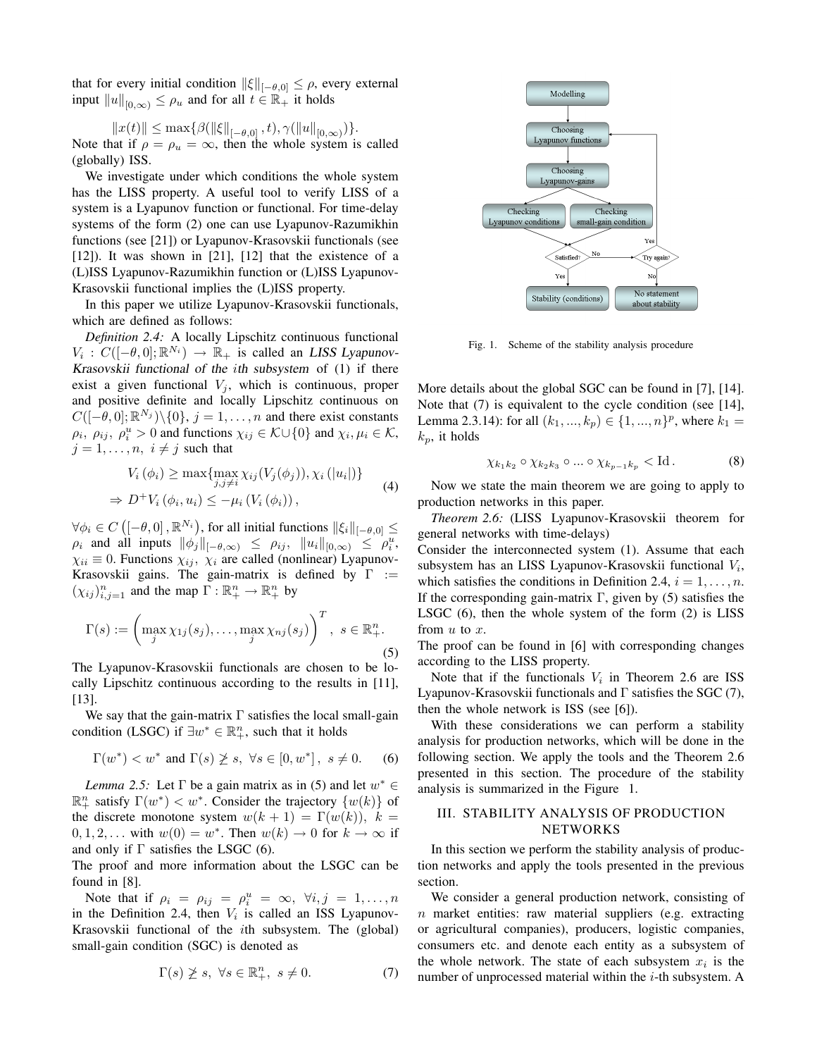that for every initial condition  $\|\xi\|_{[-\theta,0]} \leq \rho$ , every external input  $||u||_{[0,\infty)} \leq \rho_u$  and for all  $t \in \mathbb{R}_+$  it holds

$$
||x(t)|| \le \max{\{\beta(\|\xi\|_{[-\theta,0]},t), \gamma(\|u\|_{[0,\infty)})\}}.
$$

Note that if  $\rho = \rho_u = \infty$ , then the whole system is called (globally) ISS.

We investigate under which conditions the whole system has the LISS property. A useful tool to verify LISS of a system is a Lyapunov function or functional. For time-delay systems of the form (2) one can use Lyapunov-Razumikhin functions (see [21]) or Lyapunov-Krasovskii functionals (see  $[12]$ ). It was shown in  $[21]$ ,  $[12]$  that the existence of a (L)ISS Lyapunov-Razumikhin function or (L)ISS Lyapunov-Krasovskii functional implies the (L)ISS property.

In this paper we utilize Lyapunov-Krasovskii functionals, which are defined as follows:

*Definition 2.4:* A locally Lipschitz continuous functional  $V_i : C([-\theta, 0]; \mathbb{R}^{N_i}) \rightarrow \mathbb{R}_+$  is called an LISS Lyapunov-Krasovskii functional of the ith subsystem of (1) if there exist a given functional  $V_i$ , which is continuous, proper and positive definite and locally Lipschitz continuous on  $C([-\theta, 0]; \mathbb{R}^{N_j})\backslash\{0\}, j = 1, \ldots, n$  and there exist constants  $\rho_i$ ,  $\rho_{ij}$ ,  $\rho_i^u > 0$  and functions  $\chi_{ij} \in \mathcal{K} \cup \{0\}$  and  $\chi_i, \mu_i \in \mathcal{K}$ ,  $j = 1, \ldots, n, i \neq j$  such that

$$
V_i(\phi_i) \ge \max\{\max_{j,j\neq i} \chi_{ij}(V_j(\phi_j)), \chi_i(|u_i|)\}
$$
  
\n
$$
\Rightarrow D^+V_i(\phi_i, u_i) \le -\mu_i(V_i(\phi_i)),
$$
\n(4)

 $\forall \phi_i \in C([-\theta, 0], \mathbb{R}^{N_i})$ , for all initial functions  $\|\xi_i\|_{[-\theta, 0]} \leq$  $\rho_i$  and all inputs  $\|\phi_j\|_{[-\theta,\infty)} \le \rho_{ij}$ ,  $\|u_i\|_{[0,\infty)} \le \rho_i^u$ ,  $\chi_{ii} \equiv 0$ . Functions  $\chi_{ij}$ ,  $\chi_i$  are called (nonlinear) Lyapunov-Krasovskii gains. The gain-matrix is defined by  $\Gamma :=$  $(\chi_{ij})_{i,j=1}^n$  and the map  $\Gamma : \mathbb{R}^n_+ \to \mathbb{R}^n_+$  by

$$
\Gamma(s) := \left(\max_j \chi_{1j}(s_j), \dots, \max_j \chi_{nj}(s_j)\right)^T, \ s \in \mathbb{R}^n_+.
$$
\n(5)

The Lyapunov-Krasovskii functionals are chosen to be locally Lipschitz continuous according to the results in [11], [13].

We say that the gain-matrix  $\Gamma$  satisfies the local small-gain condition (LSGC) if  $\exists w^* \in \mathbb{R}_+^n$ , such that it holds

$$
\Gamma(w^*) < w^* \text{ and } \Gamma(s) \ngeq s, \ \forall s \in [0, w^*], \ s \neq 0. \tag{6}
$$

*Lemma 2.5:* Let  $\Gamma$  be a gain matrix as in (5) and let  $w^* \in$  $\mathbb{R}^n_+$  satisfy  $\Gamma(w^*) < w^*$ . Consider the trajectory  $\{w(k)\}\$ of the discrete monotone system  $w(k + 1) = \Gamma(w(k))$ ,  $k =$  $0, 1, 2, \ldots$  with  $w(0) = w^*$ . Then  $w(k) \to 0$  for  $k \to \infty$  if and only if  $\Gamma$  satisfies the LSGC (6).

The proof and more information about the LSGC can be found in [8].

Note that if  $\rho_i = \rho_{ij} = \rho_i^u = \infty$ ,  $\forall i, j = 1, ..., n$ in the Definition 2.4, then  $V_i$  is called an ISS Lyapunov-Krasovskii functional of the ith subsystem. The (global) small-gain condition (SGC) is denoted as

$$
\Gamma(s) \ngeq s, \ \forall s \in \mathbb{R}_+^n, \ s \neq 0. \tag{7}
$$



Fig. 1. Scheme of the stability analysis procedure

More details about the global SGC can be found in [7], [14]. Note that (7) is equivalent to the cycle condition (see [14], Lemma 2.3.14): for all  $(k_1, ..., k_p) \in \{1, ..., n\}^p$ , where  $k_1 =$  $k_p$ , it holds

$$
\chi_{k_1k_2} \circ \chi_{k_2k_3} \circ \dots \circ \chi_{k_{p-1}k_p} < \text{Id} \,. \tag{8}
$$

Now we state the main theorem we are going to apply to production networks in this paper.

*Theorem 2.6:* (LISS Lyapunov-Krasovskii theorem for general networks with time-delays)

Consider the interconnected system (1). Assume that each subsystem has an LISS Lyapunov-Krasovskii functional  $V_i$ , which satisfies the conditions in Definition 2.4,  $i = 1, \ldots, n$ . If the corresponding gain-matrix  $\Gamma$ , given by (5) satisfies the LSGC (6), then the whole system of the form (2) is LISS from  $u$  to  $x$ .

The proof can be found in [6] with corresponding changes according to the LISS property.

Note that if the functionals  $V_i$  in Theorem 2.6 are ISS Lyapunov-Krasovskii functionals and  $\Gamma$  satisfies the SGC (7), then the whole network is ISS (see [6]).

With these considerations we can perform a stability analysis for production networks, which will be done in the following section. We apply the tools and the Theorem 2.6 presented in this section. The procedure of the stability analysis is summarized in the Figure 1.

## III. STABILITY ANALYSIS OF PRODUCTION NETWORKS

In this section we perform the stability analysis of production networks and apply the tools presented in the previous section.

We consider a general production network, consisting of  $n$  market entities: raw material suppliers (e.g. extracting or agricultural companies), producers, logistic companies, consumers etc. and denote each entity as a subsystem of the whole network. The state of each subsystem  $x_i$  is the number of unprocessed material within the  $i$ -th subsystem. A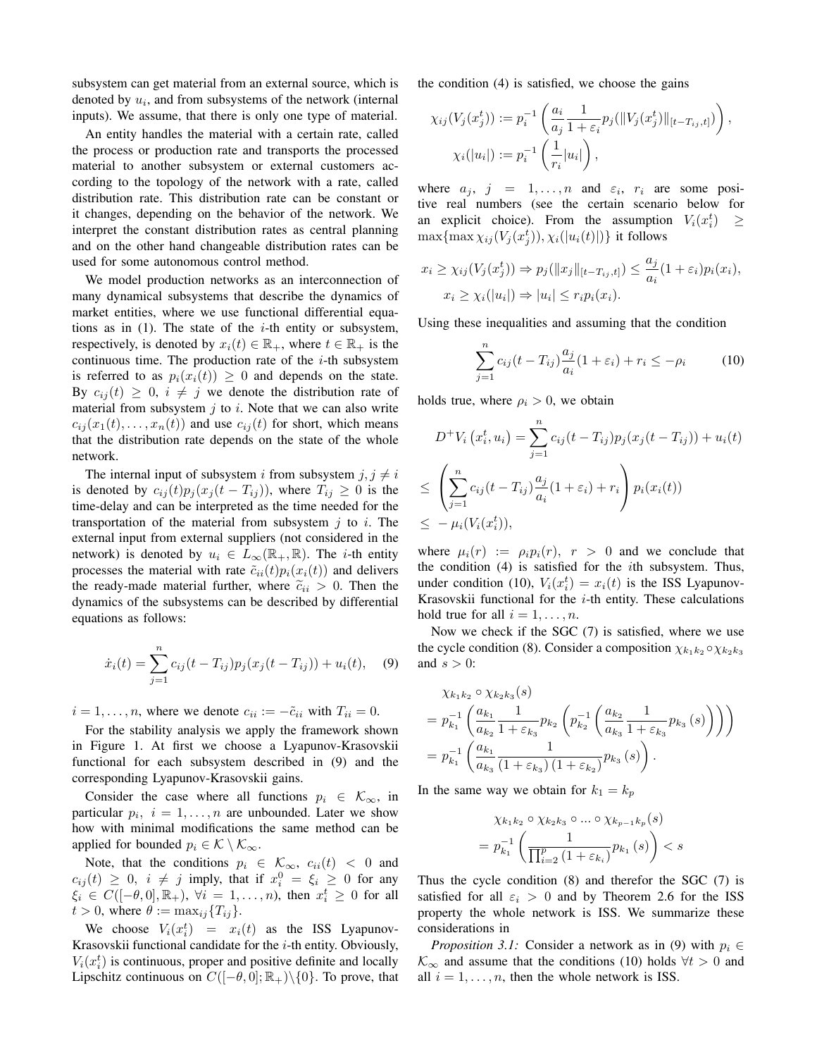subsystem can get material from an external source, which is denoted by  $u_i$ , and from subsystems of the network (internal inputs). We assume, that there is only one type of material.

An entity handles the material with a certain rate, called the process or production rate and transports the processed material to another subsystem or external customers according to the topology of the network with a rate, called distribution rate. This distribution rate can be constant or it changes, depending on the behavior of the network. We interpret the constant distribution rates as central planning and on the other hand changeable distribution rates can be used for some autonomous control method.

We model production networks as an interconnection of many dynamical subsystems that describe the dynamics of market entities, where we use functional differential equations as in  $(1)$ . The state of the *i*-th entity or subsystem, respectively, is denoted by  $x_i(t) \in \mathbb{R}_+$ , where  $t \in \mathbb{R}_+$  is the continuous time. The production rate of the  $i$ -th subsystem is referred to as  $p_i(x_i(t)) \geq 0$  and depends on the state. By  $c_{ij}(t) \geq 0$ ,  $i \neq j$  we denote the distribution rate of material from subsystem  $j$  to  $i$ . Note that we can also write  $c_{ij}(x_1(t), \ldots, x_n(t))$  and use  $c_{ij}(t)$  for short, which means that the distribution rate depends on the state of the whole network.

The internal input of subsystem i from subsystem  $j, j \neq i$ is denoted by  $c_{ij}(t)p_j(x_j(t-T_{ij}))$ , where  $T_{ij} \geq 0$  is the time-delay and can be interpreted as the time needed for the transportation of the material from subsystem  $j$  to  $i$ . The external input from external suppliers (not considered in the network) is denoted by  $u_i \in L_\infty(\mathbb{R}_+, \mathbb{R})$ . The *i*-th entity processes the material with rate  $\tilde{c}_{ii}(t)p_i(x_i(t))$  and delivers the ready-made material further, where  $\tilde{c}_{ii} > 0$ . Then the dynamics of the subsystems can be described by differential equations as follows:

$$
\dot{x}_i(t) = \sum_{j=1}^n c_{ij}(t - T_{ij})p_j(x_j(t - T_{ij})) + u_i(t), \quad (9)
$$

 $i = 1, \ldots, n$ , where we denote  $c_{ii} := -\tilde{c}_{ii}$  with  $T_{ii} = 0$ .

For the stability analysis we apply the framework shown in Figure 1. At first we choose a Lyapunov-Krasovskii functional for each subsystem described in (9) and the corresponding Lyapunov-Krasovskii gains.

Consider the case where all functions  $p_i \in \mathcal{K}_{\infty}$ , in particular  $p_i$ ,  $i = 1, ..., n$  are unbounded. Later we show how with minimal modifications the same method can be applied for bounded  $p_i \in \mathcal{K} \setminus \mathcal{K}_{\infty}$ .

Note, that the conditions  $p_i \in \mathcal{K}_{\infty}$ ,  $c_{ii}(t) < 0$  and  $c_{ij}(t) \geq 0$ ,  $i \neq j$  imply, that if  $x_i^0 = \xi_i \geq 0$  for any  $\xi_i \in C([-\theta,0], \mathbb{R}_+), \ \forall i = 1, \dots, n$ , then  $x_i^t \geq 0$  for all  $t > 0$ , where  $\theta := \max_{ij} {T_{ij}}$ .

We choose  $V_i(x_i^t) = x_i(t)$  as the ISS Lyapunov-Krasovskii functional candidate for the  $i$ -th entity. Obviously,  $V_i(x_i^t)$  is continuous, proper and positive definite and locally Lipschitz continuous on  $C([-\theta, 0]; \mathbb{R}_+) \setminus \{0\}$ . To prove, that the condition (4) is satisfied, we choose the gains

$$
\chi_{ij}(V_j(x_j^t)) := p_i^{-1} \left( \frac{a_i}{a_j} \frac{1}{1 + \varepsilon_i} p_j(||V_j(x_j^t)||_{[t - T_{ij}, t]}) \right),
$$
  

$$
\chi_i(|u_i|) := p_i^{-1} \left( \frac{1}{r_i} |u_i| \right),
$$

where  $a_j$ ,  $j = 1, ..., n$  and  $\varepsilon_i$ ,  $r_i$  are some positive real numbers (see the certain scenario below for an explicit choice). From the assumption  $V_i(x_i^t) \geq$  $\max \{\max \chi_{ij}(V_j(x_j^t)), \chi_i(|u_i(t)|)\}$  it follows

$$
x_i \ge \chi_{ij}(V_j(x_j^t)) \Rightarrow p_j(||x_j||_{[t-T_{ij},t]}) \le \frac{a_j}{a_i}(1+\varepsilon_i)p_i(x_i),
$$
  

$$
x_i \ge \chi_i(|u_i|) \Rightarrow |u_i| \le r_i p_i(x_i).
$$

Using these inequalities and assuming that the condition

$$
\sum_{j=1}^{n} c_{ij} (t - T_{ij}) \frac{a_j}{a_i} (1 + \varepsilon_i) + r_i \le -\rho_i \tag{10}
$$

holds true, where  $\rho_i > 0$ , we obtain

$$
D^{+}V_{i}(x_{i}^{t}, u_{i}) = \sum_{j=1}^{n} c_{ij}(t - T_{ij})p_{j}(x_{j}(t - T_{ij})) + u_{i}(t)
$$
  

$$
\leq \left(\sum_{j=1}^{n} c_{ij}(t - T_{ij})\frac{a_{j}}{a_{i}}(1 + \varepsilon_{i}) + r_{i}\right) p_{i}(x_{i}(t))
$$
  

$$
\leq -\mu_{i}(V_{i}(x_{i}^{t})),
$$

where  $\mu_i(r) := \rho_i p_i(r)$ ,  $r > 0$  and we conclude that the condition (4) is satisfied for the ith subsystem. Thus, under condition (10),  $V_i(x_i^t) = x_i(t)$  is the ISS Lyapunov-Krasovskii functional for the  $i$ -th entity. These calculations hold true for all  $i = 1, \ldots, n$ .

Now we check if the SGC (7) is satisfied, where we use the cycle condition (8). Consider a composition  $\chi_{k_1k_2} \circ \chi_{k_2k_3}$ and  $s > 0$ :

$$
\chi_{k_1k_2} \circ \chi_{k_2k_3}(s)
$$
\n
$$
= p_{k_1}^{-1} \left( \frac{a_{k_1}}{a_{k_2}} \frac{1}{1 + \varepsilon_{k_3}} p_{k_2} \left( p_{k_2}^{-1} \left( \frac{a_{k_2}}{a_{k_3}} \frac{1}{1 + \varepsilon_{k_3}} p_{k_3}(s) \right) \right) \right)
$$
\n
$$
= p_{k_1}^{-1} \left( \frac{a_{k_1}}{a_{k_3}} \frac{1}{(1 + \varepsilon_{k_3})(1 + \varepsilon_{k_2})} p_{k_3}(s) \right).
$$

In the same way we obtain for  $k_1 = k_p$ 

$$
\chi_{k_1k_2} \circ \chi_{k_2k_3} \circ \dots \circ \chi_{k_{p-1}k_p}(s)
$$
  
=  $p_{k_1}^{-1} \left( \frac{1}{\prod_{i=2}^p (1 + \varepsilon_{k_i})} p_{k_1}(s) \right) < s$ 

Thus the cycle condition (8) and therefor the SGC (7) is satisfied for all  $\varepsilon_i > 0$  and by Theorem 2.6 for the ISS property the whole network is ISS. We summarize these considerations in

*Proposition 3.1:* Consider a network as in (9) with  $p_i \in$  $\mathcal{K}_{\infty}$  and assume that the conditions (10) holds  $\forall t > 0$  and all  $i = 1, \ldots, n$ , then the whole network is ISS.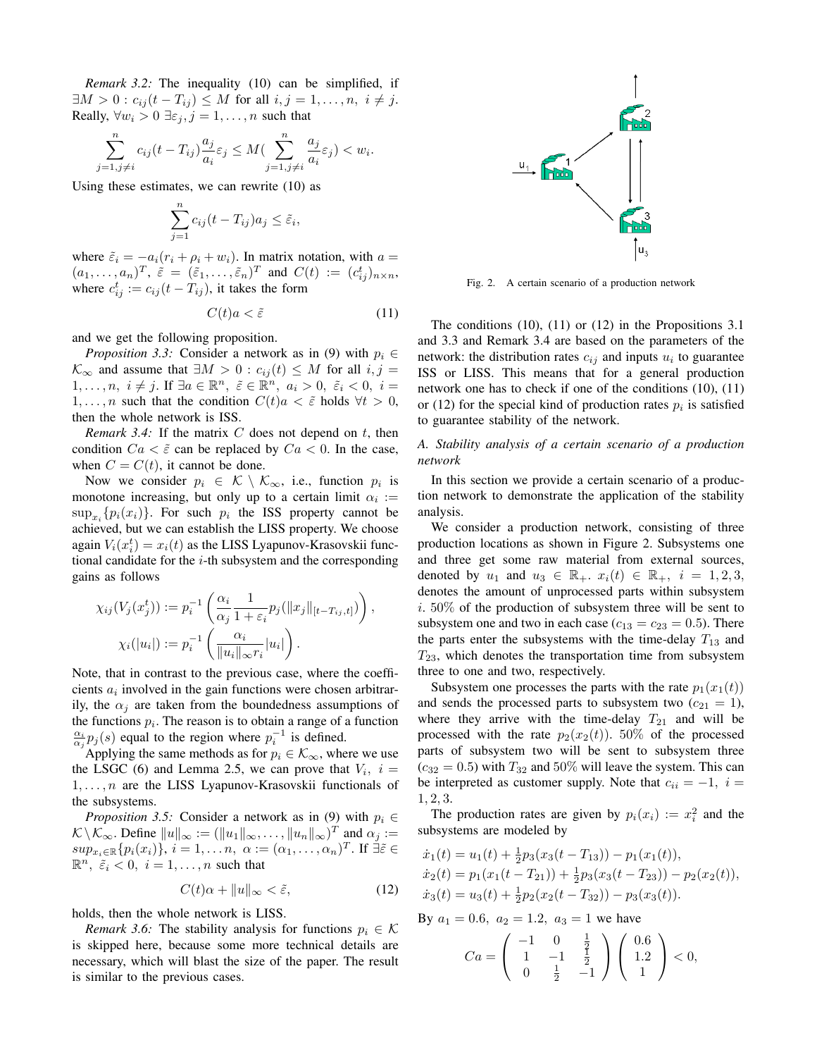*Remark 3.2:* The inequality (10) can be simplified, if  $\exists M > 0 : c_{ij}(t - T_{ij}) \leq M$  for all  $i, j = 1, \ldots, n, i \neq j$ . Really,  $\forall w_i > 0 \ \exists \varepsilon_j, j = 1, \dots, n$  such that

$$
\sum_{j=1, j\neq i}^{n} c_{ij}(t-T_{ij}) \frac{a_j}{a_i} \varepsilon_j \leq M(\sum_{j=1, j\neq i}^{n} \frac{a_j}{a_i} \varepsilon_j) < w_i.
$$

Using these estimates, we can rewrite (10) as

$$
\sum_{j=1}^{n} c_{ij} (t - T_{ij}) a_j \le \tilde{\varepsilon}_i,
$$

where  $\tilde{\varepsilon}_i = -a_i(r_i + \rho_i + w_i)$ . In matrix notation, with  $a =$  $(a_1, \ldots, a_n)^T$ ,  $\tilde{\varepsilon} = (\tilde{\varepsilon}_1, \ldots, \tilde{\varepsilon}_n)^T$  and  $C(t) := (c_{ij}^t)_{n \times n}$ , where  $c_{ij}^t := c_{ij}(t - T_{ij})$ , it takes the form

$$
C(t)a < \tilde{\varepsilon} \tag{11}
$$

and we get the following proposition.

*Proposition 3.3:* Consider a network as in (9) with  $p_i \in$  $\mathcal{K}_{\infty}$  and assume that  $\exists M > 0 : c_{ij}(t) \leq M$  for all  $i, j =$  $1, \ldots, n, i \neq j$ . If  $\exists a \in \mathbb{R}^n, \tilde{\varepsilon} \in \mathbb{R}^n, a_i > 0, \tilde{\varepsilon}_i < 0, i =$ 1, ..., *n* such that the condition  $C(t)a < \tilde{\varepsilon}$  holds  $\forall t > 0$ , then the whole network is ISS.

*Remark 3.4:* If the matrix  $C$  does not depend on  $t$ , then condition  $Ca < \tilde{\varepsilon}$  can be replaced by  $Ca < 0$ . In the case, when  $C = C(t)$ , it cannot be done.

Now we consider  $p_i \in \mathcal{K} \setminus \mathcal{K}_{\infty}$ , i.e., function  $p_i$  is monotone increasing, but only up to a certain limit  $\alpha_i :=$  $\sup_{x_i} \{p_i(x_i)\}\.$  For such  $p_i$  the ISS property cannot be achieved, but we can establish the LISS property. We choose again  $V_i(x_i^t) = x_i(t)$  as the LISS Lyapunov-Krasovskii functional candidate for the  $i$ -th subsystem and the corresponding gains as follows

$$
\chi_{ij}(V_j(x_j^t)) := p_i^{-1}\left(\frac{\alpha_i}{\alpha_j}\frac{1}{1+\varepsilon_i}p_j(\|x_j\|_{[t-T_{ij},t]})\right),
$$

$$
\chi_i(|u_i|) := p_i^{-1}\left(\frac{\alpha_i}{\|u_i\|_{\infty}r_i}|u_i|\right).
$$

Note, that in contrast to the previous case, where the coefficients  $a_i$  involved in the gain functions were chosen arbitrarily, the  $\alpha_i$  are taken from the boundedness assumptions of the functions  $p_i$ . The reason is to obtain a range of a function  $\frac{\alpha_i}{\alpha_j} p_j(s)$  equal to the region where  $p_i^{-1}$  is defined.

Applying the same methods as for  $p_i \in \mathcal{K}_{\infty}$ , where we use the LSGC (6) and Lemma 2.5, we can prove that  $V_i$ ,  $i =$  $1, \ldots, n$  are the LISS Lyapunov-Krasovskii functionals of the subsystems.

*Proposition 3.5:* Consider a network as in (9) with  $p_i \in$  $\mathcal{K}\setminus\mathcal{K}_{\infty}$ . Define  $||u||_{\infty} := (||u_1||_{\infty}, \ldots, ||u_n||_{\infty})^T$  and  $\alpha_j :=$  $sup_{x_i \in \mathbb{R}} \{p_i(x_i)\}, i = 1, \ldots n, \alpha := (\alpha_1, \ldots, \alpha_n)^T$ . If  $\exists \tilde{\varepsilon} \in$  $\mathbb{R}^n$ ,  $\tilde{\varepsilon}_i < 0$ ,  $i = 1, \ldots, n$  such that

$$
C(t)\alpha + \|u\|_{\infty} < \tilde{\varepsilon},\tag{12}
$$

holds, then the whole network is LISS.

*Remark 3.6:* The stability analysis for functions  $p_i \in \mathcal{K}$ is skipped here, because some more technical details are necessary, which will blast the size of the paper. The result is similar to the previous cases.



Fig. 2. A certain scenario of a production network

The conditions (10), (11) or (12) in the Propositions 3.1 and 3.3 and Remark 3.4 are based on the parameters of the network: the distribution rates  $c_{ij}$  and inputs  $u_i$  to guarantee ISS or LISS. This means that for a general production network one has to check if one of the conditions (10), (11) or (12) for the special kind of production rates  $p_i$  is satisfied to guarantee stability of the network.

## *A. Stability analysis of a certain scenario of a production network*

In this section we provide a certain scenario of a production network to demonstrate the application of the stability analysis.

We consider a production network, consisting of three production locations as shown in Figure 2. Subsystems one and three get some raw material from external sources, denoted by  $u_1$  and  $u_3 \in \mathbb{R}_+$ ,  $x_i(t) \in \mathbb{R}_+$ ,  $i = 1, 2, 3$ , denotes the amount of unprocessed parts within subsystem i. 50% of the production of subsystem three will be sent to subsystem one and two in each case ( $c_{13} = c_{23} = 0.5$ ). There the parts enter the subsystems with the time-delay  $T_{13}$  and  $T_{23}$ , which denotes the transportation time from subsystem three to one and two, respectively.

Subsystem one processes the parts with the rate  $p_1(x_1(t))$ and sends the processed parts to subsystem two  $(c_{21} = 1)$ , where they arrive with the time-delay  $T_{21}$  and will be processed with the rate  $p_2(x_2(t))$ . 50% of the processed parts of subsystem two will be sent to subsystem three  $(c_{32} = 0.5)$  with  $T_{32}$  and 50% will leave the system. This can be interpreted as customer supply. Note that  $c_{ii} = -1$ ,  $i =$ 1, 2, 3.

The production rates are given by  $p_i(x_i) := x_i^2$  and the subsystems are modeled by

$$
\begin{aligned}\n\dot{x}_1(t) &= u_1(t) + \frac{1}{2}p_3(x_3(t - T_{13})) - p_1(x_1(t)), \\
\dot{x}_2(t) &= p_1(x_1(t - T_{21})) + \frac{1}{2}p_3(x_3(t - T_{23})) - p_2(x_2(t)), \\
\dot{x}_3(t) &= u_3(t) + \frac{1}{2}p_2(x_2(t - T_{32})) - p_3(x_3(t)).\n\end{aligned}
$$

By  $a_1 = 0.6$ ,  $a_2 = 1.2$ ,  $a_3 = 1$  we have

$$
Ca = \left(\begin{array}{ccc} -1 & 0 & \frac{1}{2} \\ 1 & -1 & \frac{1}{2} \\ 0 & \frac{1}{2} & -1 \end{array}\right) \left(\begin{array}{c} 0.6 \\ 1.2 \\ 1 \end{array}\right) < 0,
$$